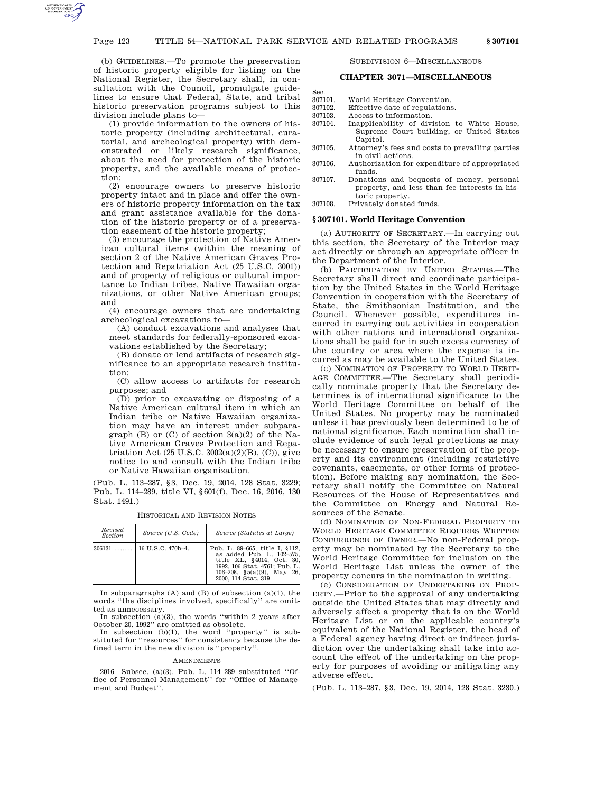(b) GUIDELINES.—To promote the preservation of historic property eligible for listing on the National Register, the Secretary shall, in consultation with the Council, promulgate guidelines to ensure that Federal, State, and tribal historic preservation programs subject to this division include plans to—

(1) provide information to the owners of historic property (including architectural, curatorial, and archeological property) with demonstrated or likely research significance, about the need for protection of the historic property, and the available means of protection;

(2) encourage owners to preserve historic property intact and in place and offer the owners of historic property information on the tax and grant assistance available for the donation of the historic property or of a preservation easement of the historic property;

(3) encourage the protection of Native American cultural items (within the meaning of section 2 of the Native American Graves Protection and Repatriation Act (25 U.S.C. 3001)) and of property of religious or cultural importance to Indian tribes, Native Hawaiian organizations, or other Native American groups; and

(4) encourage owners that are undertaking archeological excavations to—

(A) conduct excavations and analyses that meet standards for federally-sponsored excavations established by the Secretary;

(B) donate or lend artifacts of research significance to an appropriate research institution;

(C) allow access to artifacts for research purposes; and

(D) prior to excavating or disposing of a Native American cultural item in which an Indian tribe or Native Hawaiian organization may have an interest under subparagraph  $(B)$  or  $(C)$  of section  $3(a)(2)$  of the Native American Graves Protection and Repatriation Act  $(25 \text{ U.S.C. } 3002(a)(2)(B), (C))$ , give notice to and consult with the Indian tribe or Native Hawaiian organization.

(Pub. L. 113–287, §3, Dec. 19, 2014, 128 Stat. 3229; Pub. L. 114–289, title VI, §601(f), Dec. 16, 2016, 130 Stat. 1491.)

| Revised<br><b>Section</b> | Source (U.S. Code)      | Source (Statutes at Large)                                                                                                                                                          |
|---------------------------|-------------------------|-------------------------------------------------------------------------------------------------------------------------------------------------------------------------------------|
| $306131$                  | $\pm 16$ U.S.C. 470h-4. | Pub. L. 89-665, title I, §112,<br>as added Pub. L. 102-575,<br>title XL, §4014, Oct. 30,<br>1992, 106 Stat. 4761; Pub. L.<br>106-208, $\S5(a)(9)$ , May 26,<br>2000. 114 Stat. 319. |

HISTORICAL AND REVISION NOTES

In subparagraphs  $(A)$  and  $(B)$  of subsection  $(a)(1)$ , the words ''the disciplines involved, specifically'' are omitted as unnecessary. In subsection (a)(3), the words ''within 2 years after

October 20, 1992'' are omitted as obsolete.

In subsection (b)(1), the word ''property'' is substituted for ''resources'' for consistency because the defined term in the new division is ''property''.

#### **AMENDMENTS**

2016—Subsec. (a)(3). Pub. L. 114–289 substituted ''Office of Personnel Management'' for ''Office of Management and Budget''.

SUBDIVISION 6—MISCELLANEOUS

#### **CHAPTER 3071—MISCELLANEOUS**

Sec. 307101. World Heritage Convention. 307102. Effective date of regulations.<br>307103. Access to information.

- 307103. Access to information.<br>307104. Inapplicability of divi Inapplicability of division to White House, Supreme Court building, or United States Capitol.
- 307105. Attorney's fees and costs to prevailing parties in civil actions.
- 307106. Authorization for expenditure of appropriated funds.
- 307107. Donations and bequests of money, personal property, and less than fee interests in historic property.
- 307108. Privately donated funds.

#### **§ 307101. World Heritage Convention**

(a) AUTHORITY OF SECRETARY.—In carrying out this section, the Secretary of the Interior may act directly or through an appropriate officer in the Department of the Interior.

(b) PARTICIPATION BY UNITED STATES.—The Secretary shall direct and coordinate participation by the United States in the World Heritage Convention in cooperation with the Secretary of State, the Smithsonian Institution, and the Council. Whenever possible, expenditures incurred in carrying out activities in cooperation with other nations and international organizations shall be paid for in such excess currency of the country or area where the expense is incurred as may be available to the United States.

(c) NOMINATION OF PROPERTY TO WORLD HERIT-AGE COMMITTEE.—The Secretary shall periodically nominate property that the Secretary determines is of international significance to the World Heritage Committee on behalf of the United States. No property may be nominated unless it has previously been determined to be of national significance. Each nomination shall include evidence of such legal protections as may be necessary to ensure preservation of the property and its environment (including restrictive covenants, easements, or other forms of protection). Before making any nomination, the Secretary shall notify the Committee on Natural Resources of the House of Representatives and the Committee on Energy and Natural Resources of the Senate.

(d) NOMINATION OF NON-FEDERAL PROPERTY TO WORLD HERITAGE COMMITTEE REQUIRES WRITTEN CONCURRENCE OF OWNER.—No non-Federal property may be nominated by the Secretary to the World Heritage Committee for inclusion on the World Heritage List unless the owner of the property concurs in the nomination in writing.

(e) CONSIDERATION OF UNDERTAKING ON PROP-ERTY.—Prior to the approval of any undertaking outside the United States that may directly and adversely affect a property that is on the World Heritage List or on the applicable country's equivalent of the National Register, the head of a Federal agency having direct or indirect jurisdiction over the undertaking shall take into account the effect of the undertaking on the property for purposes of avoiding or mitigating any adverse effect.

(Pub. L. 113–287, §3, Dec. 19, 2014, 128 Stat. 3230.)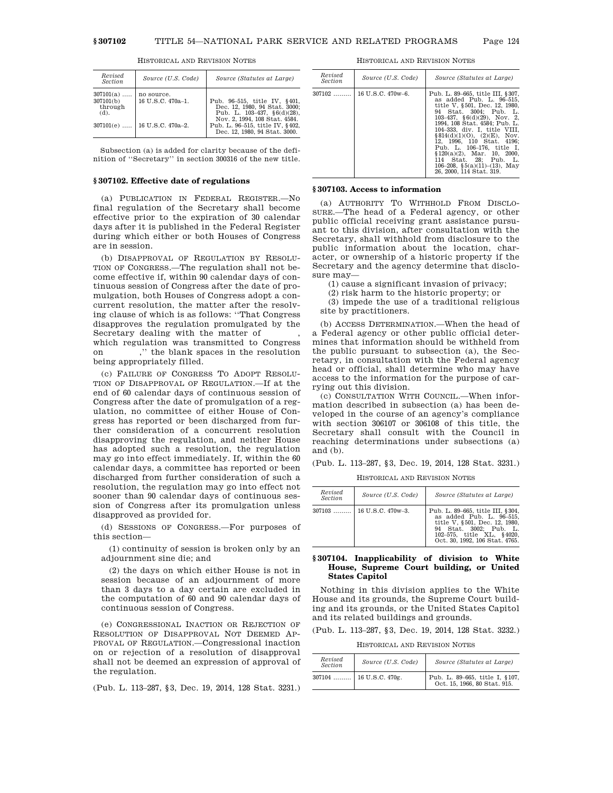| Revised<br><b>Section</b>                      | Source (U.S. Code)                                                 | Source (Statutes at Large)                                                                                                                                                                              |
|------------------------------------------------|--------------------------------------------------------------------|---------------------------------------------------------------------------------------------------------------------------------------------------------------------------------------------------------|
| $307101(a)$<br>307101(b)<br>through<br>$(d)$ . | no source.<br>16 U.S.C. 470a-1.<br>$307101(e)$   16 U.S.C. 470a-2. | Pub. 96-515, title IV, §401,<br>Dec. 12, 1980, 94 Stat. 3000:<br>Pub. L. $103-437$ , $§6(d)(28)$ ,<br>Nov. 2, 1994, 108 Stat. 4584.<br>Pub. L. 96-515, title IV, §402.<br>Dec. 12, 1980, 94 Stat. 3000. |
|                                                |                                                                    |                                                                                                                                                                                                         |

HISTORICAL AND REVISION NOTES

Subsection (a) is added for clarity because of the definition of ''Secretary'' in section 300316 of the new title.

# **§ 307102. Effective date of regulations**

(a) PUBLICATION IN FEDERAL REGISTER.—No final regulation of the Secretary shall become effective prior to the expiration of 30 calendar days after it is published in the Federal Register during which either or both Houses of Congress are in session.

(b) DISAPPROVAL OF REGULATION BY RESOLU-TION OF CONGRESS.—The regulation shall not become effective if, within 90 calendar days of continuous session of Congress after the date of promulgation, both Houses of Congress adopt a concurrent resolution, the matter after the resolving clause of which is as follows: ''That Congress disapproves the regulation promulgated by the Secretary dealing with the matter of

which regulation was transmitted to Congress on ,'' the blank spaces in the resolution being appropriately filled.

(c) FAILURE OF CONGRESS TO ADOPT RESOLU-TION OF DISAPPROVAL OF REGULATION.—If at the end of 60 calendar days of continuous session of Congress after the date of promulgation of a regulation, no committee of either House of Congress has reported or been discharged from further consideration of a concurrent resolution disapproving the regulation, and neither House has adopted such a resolution, the regulation may go into effect immediately. If, within the 60 calendar days, a committee has reported or been discharged from further consideration of such a resolution, the regulation may go into effect not sooner than 90 calendar days of continuous session of Congress after its promulgation unless disapproved as provided for.

(d) SESSIONS OF CONGRESS.—For purposes of this section—

(1) continuity of session is broken only by an adjournment sine die; and

(2) the days on which either House is not in session because of an adjournment of more than 3 days to a day certain are excluded in the computation of 60 and 90 calendar days of continuous session of Congress.

(e) CONGRESSIONAL INACTION OR REJECTION OF RESOLUTION OF DISAPPROVAL NOT DEEMED AP-PROVAL OF REGULATION.—Congressional inaction on or rejection of a resolution of disapproval shall not be deemed an expression of approval of the regulation.

(Pub. L. 113–287, §3, Dec. 19, 2014, 128 Stat. 3231.)

HISTORICAL AND REVISION NOTES

| Revised<br><i>Section</i> | Source (U.S. Code) | Source (Statutes at Large)                                                                                                                                                                                                                                                                                                                                                                                                                       |
|---------------------------|--------------------|--------------------------------------------------------------------------------------------------------------------------------------------------------------------------------------------------------------------------------------------------------------------------------------------------------------------------------------------------------------------------------------------------------------------------------------------------|
| $307102$                  | 16 U.S.C. 470w-6.  | Pub. L. 89–665, title III, §307.<br>as added Pub. L. 96-515.<br>title V. §501. Dec. 12. 1980.<br>94 Stat. 3004: Pub. L.<br>$103-437$ , $66(d)(29)$ , Nov, 2.<br>1994, 108 Stat. 4584; Pub. L.<br>104–333, div. I. title VIII.<br>§814(d)(1)(O), (2)(E), Nov.<br>12. 1996. 110 Stat. 4196:<br>Pub. L. 106-176, title I.<br>$$120(a)(2)$ , Mar. 10, 2000,<br>114 Stat. 28: Pub. L.<br>106-208, $\S5(a)(11)$ -(13), May<br>26, 2000, 114 Stat, 319. |

#### **§ 307103. Access to information**

(a) AUTHORITY TO WITHHOLD FROM DISCLO-SURE.—The head of a Federal agency, or other public official receiving grant assistance pursuant to this division, after consultation with the Secretary, shall withhold from disclosure to the public information about the location, character, or ownership of a historic property if the Secretary and the agency determine that disclosure may—

(1) cause a significant invasion of privacy;

(2) risk harm to the historic property; or

(3) impede the use of a traditional religious site by practitioners.

(b) ACCESS DETERMINATION.—When the head of a Federal agency or other public official determines that information should be withheld from the public pursuant to subsection (a), the Secretary, in consultation with the Federal agency head or official, shall determine who may have access to the information for the purpose of carrying out this division.

(c) CONSULTATION WITH COUNCIL.—When information described in subsection (a) has been developed in the course of an agency's compliance with section 306107 or 306108 of this title, the Secretary shall consult with the Council in reaching determinations under subsections (a) and (b).

(Pub. L. 113–287, §3, Dec. 19, 2014, 128 Stat. 3231.)

HISTORICAL AND REVISION NOTES

| Revised<br>Section | Source (U.S. Code)           | Source (Statutes at Large)                                                                                                                                                             |
|--------------------|------------------------------|----------------------------------------------------------------------------------------------------------------------------------------------------------------------------------------|
|                    | $307103$   16 U.S.C. 470w-3. | Pub. L. 89-665, title III, §304,<br>as added Pub. L. 96-515.<br>title V, §501, Dec. 12, 1980,<br>94 Stat. 3002: Pub. L.<br>102-575, title XL, §4020.<br>Oct. 30, 1992, 106 Stat. 4765. |

### **§ 307104. Inapplicability of division to White House, Supreme Court building, or United States Capitol**

Nothing in this division applies to the White House and its grounds, the Supreme Court building and its grounds, or the United States Capitol and its related buildings and grounds.

(Pub. L. 113–287, §3, Dec. 19, 2014, 128 Stat. 3232.)

HISTORICAL AND REVISION NOTES

| Revised<br><b>Section</b> | Source (U.S. Code)       | Source (Statutes at Large)                                     |
|---------------------------|--------------------------|----------------------------------------------------------------|
|                           | $307104$ 16 U.S.C. 470g. | Pub. L. 89-665, title I, §107,<br>Oct. 15, 1966, 80 Stat. 915. |